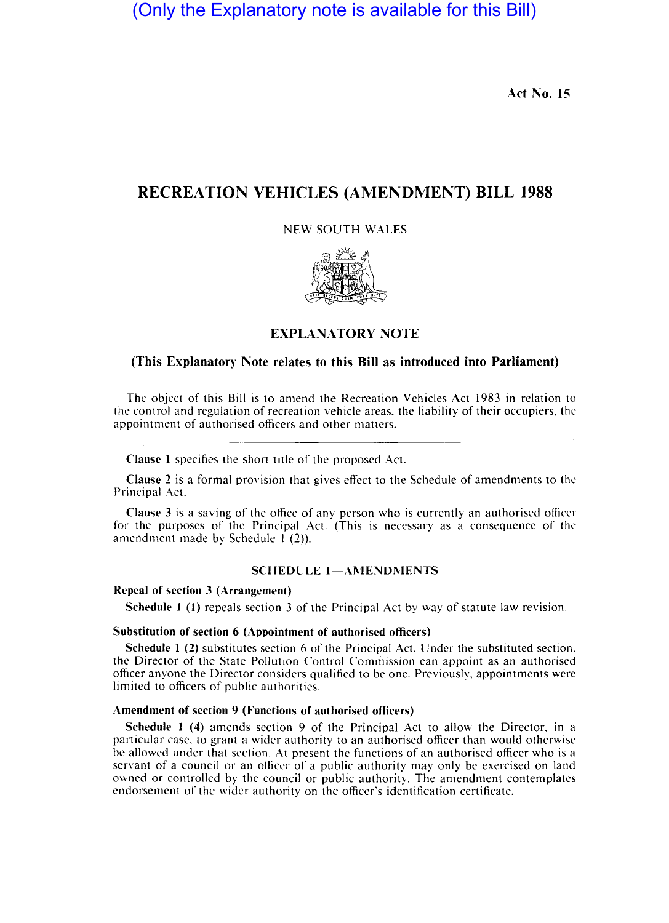(Only the Explanatory note is available for this Bill)

Act No. 15

# RECREATION VEHICLES (AMENDMENT) BILL 1988

NEW SOUTH WALES



## EXPLANA TORY NOTE

## (This Explanatory Note relates to this Bill as introduced into Parliament)

The object of this Bill is to amend the Recreation Vehicles Act 1983 in relation to the control and regulation of recreation vehicle areas. the liability of their occupiers. the appointment of authorised officers and other matters.

Clause 1 specifies the short title of the proposed Act.

Clause 2 is a formal provision that gives effect to the Schedule of amendments to the Principal Act.

Clause 3 is a saving of the office of any person who is currently an authorised officer for the purposes of the Principal Act. (This is necessary as a consequence of the amendment made by Schedule 1 (2)).

## SCHEDULE 1-AMENDMENTS

#### Repeal of section 3 (Arrangement)

Schedule 1 (1) repeals section 3 of the Principal Act by way of statute law revision.

## Substitution of section 6 (Appointment of authorised officers)

Schedule 1 (2) substitutes section 6 of the Principal Act. Under the substituted section. the Director of the State Pollution Control Commission can appoint as an authorised officer anyone the Director considers qualified to be one. Previously. appointments were limited to officers of public authorities.

### Amendment of section 9 (Functions of authorised officers)

Schedule 1 (4) amends section 9 of the Principal Act to allow the Director. in a particular case. to grant a wider authority to an authorised officer than would otherwise be allowed under that section. At present the functions of an authorised officer who is a servant of a council or an officer of a public authority may only be exercised on land owned or controlled by the council or public authority. The amendment contemplates endorsement of the wider authority on the officer's identification certificate.